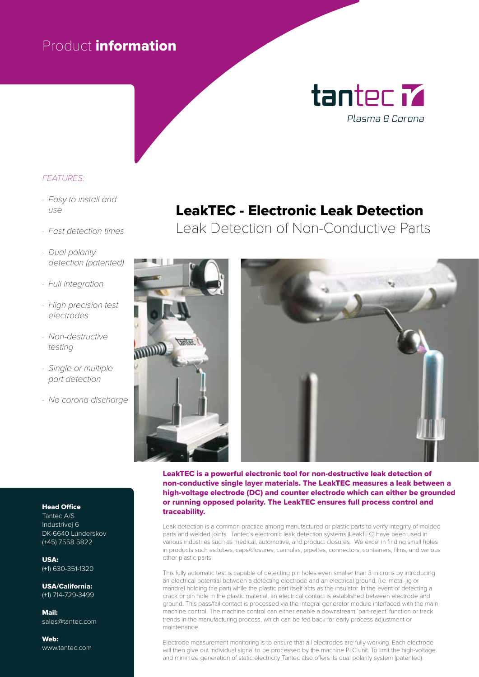## Product information

# tantec M Plasma & Corona

#### *FEATURES:*

- *· Easy to install and*   $\overline{U}$
- *· Fast detection times*
- *· Dual polarity detection (patented)*
- *· Full integration*
- *· High precision test electrodes*
- *· Non-destructive testing*
- *· Single or multiple part detection*
- *· No corona discharge*

### LeakTEC - Electronic Leak Detection

Leak Detection of Non-Conductive Parts



#### LeakTEC is a powerful electronic tool for non-destructive leak detection of non-conductive single layer materials. The LeakTEC measures a leak between a high-voltage electrode (DC) and counter electrode which can either be grounded or running opposed polarity. The LeakTEC ensures full process control and traceability.

Leak detection is a common practice among manufactured or plastic parts to verify integrity of molded parts and welded joints. Tantec's electronic leak detection systems (LeakTEC) have been used in various industries such as medical, automotive, and product closures. We excel in finding small holes in products such as tubes, caps/closures, cannulas, pipettes, connectors, containers, films, and various other plastic parts.

This fully automatic test is capable of detecting pin holes even smaller than 3 microns by introducing an electrical potential between a detecting electrode and an electrical ground, (i.e. metal jig or mandrel holding the part) while the plastic part itself acts as the insulator. In the event of detecting a crack or pin hole in the plastic material, an electrical contact is established between electrode and ground. This pass/fail contact is processed via the integral generator module interfaced with the main machine control. The machine control can either enable a downstream 'part-reject' function or track trends in the manufacturing process, which can be fed back for early process adjustment or maintenance.

Electrode measurement monitoring is to ensure that all electrodes are fully working. Each electrode will then give out individual signal to be processed by the machine PLC unit. To limit the high-voltage and minimize generation of static electricity Tantec also offers its dual polarity system (patented).

#### Head Office

Tantec A/S Industrivej 6 DK-6640 Lunderskov (+45) 7558 5822

USA: (+1) 630-351-1320

USA/California: (+1) 714-729-3499

Mail: sales@tantec.com

Web: www.tantec.com